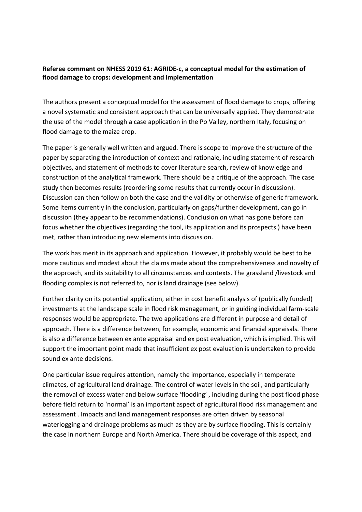## **Referee comment on NHESS 2019 61: AGRIDE‐c, a conceptual model for the estimation of flood damage to crops: development and implementation**

The authors present a conceptual model for the assessment of flood damage to crops, offering a novel systematic and consistent approach that can be universally applied. They demonstrate the use of the model through a case application in the Po Valley, northern Italy, focusing on flood damage to the maize crop.

The paper is generally well written and argued. There is scope to improve the structure of the paper by separating the introduction of context and rationale, including statement of research objectives, and statement of methods to cover literature search, review of knowledge and construction of the analytical framework. There should be a critique of the approach. The case study then becomes results (reordering some results that currently occur in discussion). Discussion can then follow on both the case and the validity or otherwise of generic framework. Some items currently in the conclusion, particularly on gaps/further development, can go in discussion (they appear to be recommendations). Conclusion on what has gone before can focus whether the objectives (regarding the tool, its application and its prospects ) have been met, rather than introducing new elements into discussion.

The work has merit in its approach and application. However, it probably would be best to be more cautious and modest about the claims made about the comprehensiveness and novelty of the approach, and its suitability to all circumstances and contexts. The grassland /livestock and flooding complex is not referred to, nor is land drainage (see below).

Further clarity on its potential application, either in cost benefit analysis of (publically funded) investments at the landscape scale in flood risk management, or in guiding individual farm‐scale responses would be appropriate. The two applications are different in purpose and detail of approach. There is a difference between, for example, economic and financial appraisals. There is also a difference between ex ante appraisal and ex post evaluation, which is implied. This will support the important point made that insufficient ex post evaluation is undertaken to provide sound ex ante decisions.

One particular issue requires attention, namely the importance, especially in temperate climates, of agricultural land drainage. The control of water levels in the soil, and particularly the removal of excess water and below surface 'flooding' , including during the post flood phase before field return to 'normal' is an important aspect of agricultural flood risk management and assessment . Impacts and land management responses are often driven by seasonal waterlogging and drainage problems as much as they are by surface flooding. This is certainly the case in northern Europe and North America. There should be coverage of this aspect, and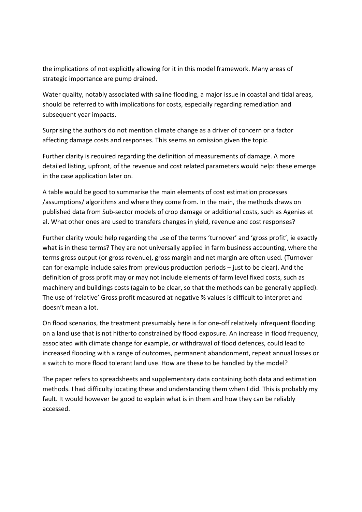the implications of not explicitly allowing for it in this model framework. Many areas of strategic importance are pump drained.

Water quality, notably associated with saline flooding, a major issue in coastal and tidal areas, should be referred to with implications for costs, especially regarding remediation and subsequent year impacts.

Surprising the authors do not mention climate change as a driver of concern or a factor affecting damage costs and responses. This seems an omission given the topic.

Further clarity is required regarding the definition of measurements of damage. A more detailed listing, upfront, of the revenue and cost related parameters would help: these emerge in the case application later on.

A table would be good to summarise the main elements of cost estimation processes /assumptions/ algorithms and where they come from. In the main, the methods draws on published data from Sub‐sector models of crop damage or additional costs, such as Agenias et al. What other ones are used to transfers changes in yield, revenue and cost responses?

Further clarity would help regarding the use of the terms 'turnover' and 'gross profit', ie exactly what is in these terms? They are not universally applied in farm business accounting, where the terms gross output (or gross revenue), gross margin and net margin are often used. (Turnover can for example include sales from previous production periods – just to be clear). And the definition of gross profit may or may not include elements of farm level fixed costs, such as machinery and buildings costs (again to be clear, so that the methods can be generally applied). The use of 'relative' Gross profit measured at negative % values is difficult to interpret and doesn't mean a lot.

On flood scenarios, the treatment presumably here is for one‐off relatively infrequent flooding on a land use that is not hitherto constrained by flood exposure. An increase in flood frequency, associated with climate change for example, or withdrawal of flood defences, could lead to increased flooding with a range of outcomes, permanent abandonment, repeat annual losses or a switch to more flood tolerant land use. How are these to be handled by the model?

The paper refers to spreadsheets and supplementary data containing both data and estimation methods. I had difficulty locating these and understanding them when I did. This is probably my fault. It would however be good to explain what is in them and how they can be reliably accessed.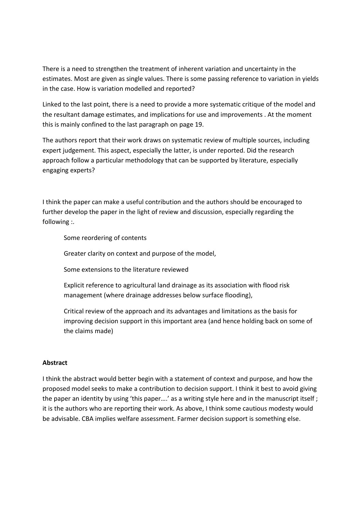There is a need to strengthen the treatment of inherent variation and uncertainty in the estimates. Most are given as single values. There is some passing reference to variation in yields in the case. How is variation modelled and reported?

Linked to the last point, there is a need to provide a more systematic critique of the model and the resultant damage estimates, and implications for use and improvements . At the moment this is mainly confined to the last paragraph on page 19.

The authors report that their work draws on systematic review of multiple sources, including expert judgement. This aspect, especially the latter, is under reported. Did the research approach follow a particular methodology that can be supported by literature, especially engaging experts?

I think the paper can make a useful contribution and the authors should be encouraged to further develop the paper in the light of review and discussion, especially regarding the following :.

Some reordering of contents

Greater clarity on context and purpose of the model,

Some extensions to the literature reviewed

Explicit reference to agricultural land drainage as its association with flood risk management (where drainage addresses below surface flooding),

Critical review of the approach and its advantages and limitations as the basis for improving decision support in this important area (and hence holding back on some of the claims made)

## **Abstract**

I think the abstract would better begin with a statement of context and purpose, and how the proposed model seeks to make a contribution to decision support. I think it best to avoid giving the paper an identity by using 'this paper….' as a writing style here and in the manuscript itself ; it is the authors who are reporting their work. As above, I think some cautious modesty would be advisable. CBA implies welfare assessment. Farmer decision support is something else.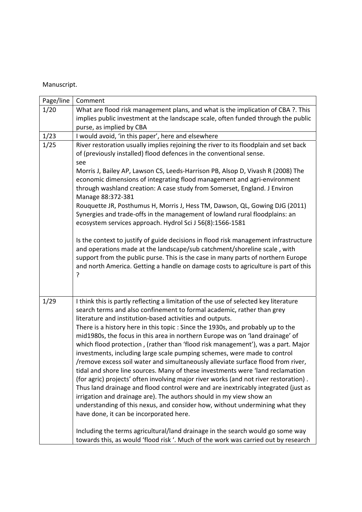## Manuscript.

| Page/line | Comment                                                                                                                                                                                                                                                                                                                                                                                                                                                                                                                                                                                                                                                                                                                                                                                                                                                                                                                                                                                                                                                                                                                                                                                                |
|-----------|--------------------------------------------------------------------------------------------------------------------------------------------------------------------------------------------------------------------------------------------------------------------------------------------------------------------------------------------------------------------------------------------------------------------------------------------------------------------------------------------------------------------------------------------------------------------------------------------------------------------------------------------------------------------------------------------------------------------------------------------------------------------------------------------------------------------------------------------------------------------------------------------------------------------------------------------------------------------------------------------------------------------------------------------------------------------------------------------------------------------------------------------------------------------------------------------------------|
| 1/20      | What are flood risk management plans, and what is the implication of CBA ?. This                                                                                                                                                                                                                                                                                                                                                                                                                                                                                                                                                                                                                                                                                                                                                                                                                                                                                                                                                                                                                                                                                                                       |
|           | implies public investment at the landscape scale, often funded through the public                                                                                                                                                                                                                                                                                                                                                                                                                                                                                                                                                                                                                                                                                                                                                                                                                                                                                                                                                                                                                                                                                                                      |
|           | purse, as implied by CBA                                                                                                                                                                                                                                                                                                                                                                                                                                                                                                                                                                                                                                                                                                                                                                                                                                                                                                                                                                                                                                                                                                                                                                               |
| 1/23      | I would avoid, 'in this paper', here and elsewhere                                                                                                                                                                                                                                                                                                                                                                                                                                                                                                                                                                                                                                                                                                                                                                                                                                                                                                                                                                                                                                                                                                                                                     |
| 1/25      | River restoration usually implies rejoining the river to its floodplain and set back<br>of (previously installed) flood defences in the conventional sense.<br>see<br>Morris J, Bailey AP, Lawson CS, Leeds-Harrison PB, Alsop D, Vivash R (2008) The<br>economic dimensions of integrating flood management and agri-environment<br>through washland creation: A case study from Somerset, England. J Environ<br>Manage 88:372-381<br>Rouquette JR, Posthumus H, Morris J, Hess TM, Dawson, QL, Gowing DJG (2011)<br>Synergies and trade-offs in the management of lowland rural floodplains: an<br>ecosystem services approach. Hydrol Sci J 56(8):1566-1581                                                                                                                                                                                                                                                                                                                                                                                                                                                                                                                                         |
|           | Is the context to justify of guide decisions in flood risk management infrastructure<br>and operations made at the landscape/sub catchment/shoreline scale, with<br>support from the public purse. This is the case in many parts of northern Europe<br>and north America. Getting a handle on damage costs to agriculture is part of this<br>?                                                                                                                                                                                                                                                                                                                                                                                                                                                                                                                                                                                                                                                                                                                                                                                                                                                        |
| 1/29      | I think this is partly reflecting a limitation of the use of selected key literature<br>search terms and also confinement to formal academic, rather than grey<br>literature and institution-based activities and outputs.<br>There is a history here in this topic : Since the 1930s, and probably up to the<br>mid1980s, the focus in this area in northern Europe was on 'land drainage' of<br>which flood protection, (rather than 'flood risk management'), was a part. Major<br>investments, including large scale pumping schemes, were made to control<br>/remove excess soil water and simultaneously alleviate surface flood from river,<br>tidal and shore line sources. Many of these investments were 'land reclamation<br>(for agric) projects' often involving major river works (and not river restoration).<br>Thus land drainage and flood control were and are inextricably integrated (just as<br>irrigation and drainage are). The authors should in my view show an<br>understanding of this nexus, and consider how, without undermining what they<br>have done, it can be incorporated here.<br>Including the terms agricultural/land drainage in the search would go some way |
|           | towards this, as would 'flood risk '. Much of the work was carried out by research                                                                                                                                                                                                                                                                                                                                                                                                                                                                                                                                                                                                                                                                                                                                                                                                                                                                                                                                                                                                                                                                                                                     |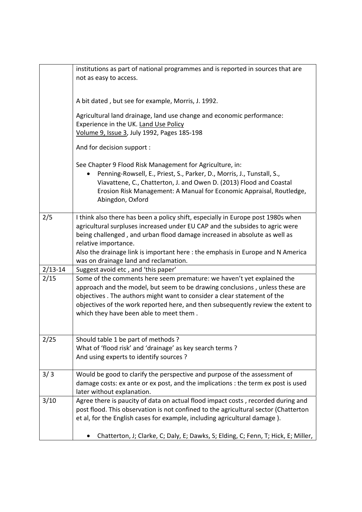|             | institutions as part of national programmes and is reported in sources that are<br>not as easy to access.                                                                                                                                                                                                                                                                                         |
|-------------|---------------------------------------------------------------------------------------------------------------------------------------------------------------------------------------------------------------------------------------------------------------------------------------------------------------------------------------------------------------------------------------------------|
|             | A bit dated, but see for example, Morris, J. 1992.                                                                                                                                                                                                                                                                                                                                                |
|             | Agricultural land drainage, land use change and economic performance:<br>Experience in the UK. Land Use Policy<br>Volume 9, Issue 3, July 1992, Pages 185-198                                                                                                                                                                                                                                     |
|             | And for decision support :                                                                                                                                                                                                                                                                                                                                                                        |
|             | See Chapter 9 Flood Risk Management for Agriculture, in:<br>Penning-Rowsell, E., Priest, S., Parker, D., Morris, J., Tunstall, S.,<br>Viavattene, C., Chatterton, J. and Owen D. (2013) Flood and Coastal<br>Erosion Risk Management: A Manual for Economic Appraisal, Routledge,<br>Abingdon, Oxford                                                                                             |
| 2/5         | I think also there has been a policy shift, especially in Europe post 1980s when<br>agricultural surpluses increased under EU CAP and the subsides to agric were<br>being challenged, and urban flood damage increased in absolute as well as<br>relative importance.<br>Also the drainage link is important here : the emphasis in Europe and N America<br>was on drainage land and reclamation. |
| $2/13 - 14$ | Suggest avoid etc, and 'this paper'                                                                                                                                                                                                                                                                                                                                                               |
| 2/15        | Some of the comments here seem premature: we haven't yet explained the<br>approach and the model, but seem to be drawing conclusions, unless these are<br>objectives. The authors might want to consider a clear statement of the<br>objectives of the work reported here, and then subsequently review the extent to<br>which they have been able to meet them.                                  |
| 2/25        | Should table 1 be part of methods?<br>What of 'flood risk' and 'drainage' as key search terms ?<br>And using experts to identify sources ?                                                                                                                                                                                                                                                        |
| 3/3         | Would be good to clarify the perspective and purpose of the assessment of<br>damage costs: ex ante or ex post, and the implications : the term ex post is used<br>later without explanation.                                                                                                                                                                                                      |
| 3/10        | Agree there is paucity of data on actual flood impact costs, recorded during and<br>post flood. This observation is not confined to the agricultural sector (Chatterton<br>et al, for the English cases for example, including agricultural damage).                                                                                                                                              |
|             | Chatterton, J; Clarke, C; Daly, E; Dawks, S; Elding, C; Fenn, T; Hick, E; Miller,                                                                                                                                                                                                                                                                                                                 |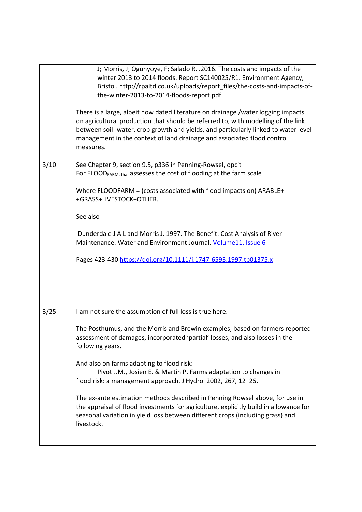|      | J; Morris, J; Ogunyoye, F; Salado R. . 2016. The costs and impacts of the<br>winter 2013 to 2014 floods. Report SC140025/R1. Environment Agency,<br>Bristol. http://rpaltd.co.uk/uploads/report_files/the-costs-and-impacts-of-<br>the-winter-2013-to-2014-floods-report.pdf<br>There is a large, albeit now dated literature on drainage /water logging impacts<br>on agricultural production that should be referred to, with modelling of the link<br>between soil- water, crop growth and yields, and particularly linked to water level<br>management in the context of land drainage and associated flood control<br>measures.                                                                   |
|------|--------------------------------------------------------------------------------------------------------------------------------------------------------------------------------------------------------------------------------------------------------------------------------------------------------------------------------------------------------------------------------------------------------------------------------------------------------------------------------------------------------------------------------------------------------------------------------------------------------------------------------------------------------------------------------------------------------|
| 3/10 | See Chapter 9, section 9.5, p336 in Penning-Rowsel, opcit<br>For FLOOD <sub>FARM, that</sub> assesses the cost of flooding at the farm scale<br>Where FLOODFARM = (costs associated with flood impacts on) ARABLE+<br>+GRASS+LIVESTOCK+OTHER.<br>See also                                                                                                                                                                                                                                                                                                                                                                                                                                              |
|      | Dunderdale J A L and Morris J. 1997. The Benefit: Cost Analysis of River<br>Maintenance. Water and Environment Journal. Volume11, Issue 6<br>Pages 423-430 https://doi.org/10.1111/j.1747-6593.1997.tb01375.x                                                                                                                                                                                                                                                                                                                                                                                                                                                                                          |
| 3/25 | I am not sure the assumption of full loss is true here.<br>The Posthumus, and the Morris and Brewin examples, based on farmers reported<br>assessment of damages, incorporated 'partial' losses, and also losses in the<br>following years.<br>And also on farms adapting to flood risk:<br>Pivot J.M., Josien E. & Martin P. Farms adaptation to changes in<br>flood risk: a management approach. J Hydrol 2002, 267, 12-25.<br>The ex-ante estimation methods described in Penning Rowsel above, for use in<br>the appraisal of flood investments for agriculture, explicitly build in allowance for<br>seasonal variation in yield loss between different crops (including grass) and<br>livestock. |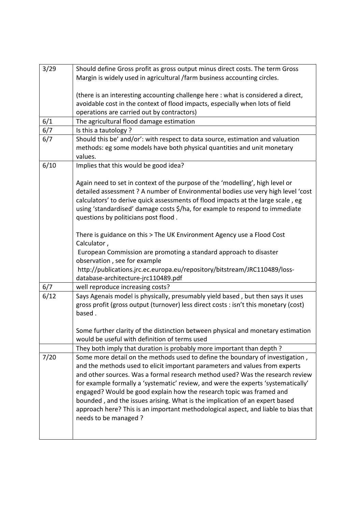| 3/29 |                                                                                      |
|------|--------------------------------------------------------------------------------------|
|      | Should define Gross profit as gross output minus direct costs. The term Gross        |
|      | Margin is widely used in agricultural /farm business accounting circles.             |
|      |                                                                                      |
|      | (there is an interesting accounting challenge here : what is considered a direct,    |
|      | avoidable cost in the context of flood impacts, especially when lots of field        |
|      | operations are carried out by contractors)                                           |
| 6/1  | The agricultural flood damage estimation                                             |
| 6/7  | Is this a tautology?                                                                 |
| 6/7  | Should this be' and/or': with respect to data source, estimation and valuation       |
|      | methods: eg some models have both physical quantities and unit monetary              |
|      | values.                                                                              |
| 6/10 | Implies that this would be good idea?                                                |
|      |                                                                                      |
|      | Again need to set in context of the purpose of the 'modelling', high level or        |
|      | detailed assessment ? A number of Environmental bodies use very high level 'cost     |
|      | calculators' to derive quick assessments of flood impacts at the large scale, eg     |
|      | using 'standardised' damage costs \$/ha, for example to respond to immediate         |
|      |                                                                                      |
|      | questions by politicians post flood.                                                 |
|      |                                                                                      |
|      | There is guidance on this > The UK Environment Agency use a Flood Cost               |
|      | Calculator,                                                                          |
|      | European Commission are promoting a standard approach to disaster                    |
|      | observation, see for example                                                         |
|      | http://publications.jrc.ec.europa.eu/repository/bitstream/JRC110489/loss-            |
|      | database-architecture-jrc110489.pdf                                                  |
| 6/7  | well reproduce increasing costs?                                                     |
| 6/12 | Says Agenais model is physically, presumably yield based, but then says it uses      |
|      | gross profit (gross output (turnover) less direct costs : isn't this monetary (cost) |
|      | based.                                                                               |
|      |                                                                                      |
|      | Some further clarity of the distinction between physical and monetary estimation     |
|      | would be useful with definition of terms used                                        |
|      | They both imply that duration is probably more important than depth ?                |
| 7/20 | Some more detail on the methods used to define the boundary of investigation,        |
|      | and the methods used to elicit important parameters and values from experts          |
|      | and other sources. Was a formal research method used? Was the research review        |
|      | for example formally a 'systematic' review, and were the experts 'systematically'    |
|      | engaged? Would be good explain how the research topic was framed and                 |
|      |                                                                                      |
|      | bounded, and the issues arising. What is the implication of an expert based          |
|      | approach here? This is an important methodological aspect, and liable to bias that   |
|      | needs to be managed ?                                                                |
|      |                                                                                      |
|      |                                                                                      |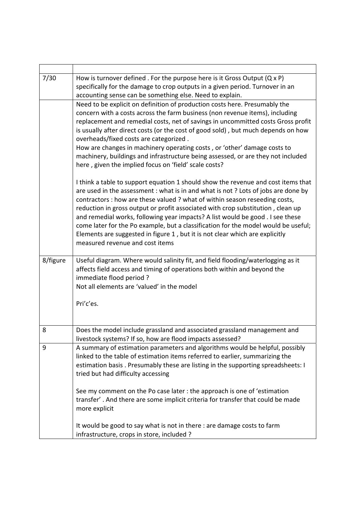| 7/30     | How is turnover defined . For the purpose here is it Gross Output $(Q \times P)$                                            |
|----------|-----------------------------------------------------------------------------------------------------------------------------|
|          | specifically for the damage to crop outputs in a given period. Turnover in an                                               |
|          | accounting sense can be something else. Need to explain.                                                                    |
|          | Need to be explicit on definition of production costs here. Presumably the                                                  |
|          | concern with a costs across the farm business (non revenue items), including                                                |
|          | replacement and remedial costs, net of savings in uncommitted costs Gross profit                                            |
|          | is usually after direct costs (or the cost of good sold), but much depends on how<br>overheads/fixed costs are categorized. |
|          | How are changes in machinery operating costs, or 'other' damage costs to                                                    |
|          | machinery, buildings and infrastructure being assessed, or are they not included                                            |
|          | here, given the implied focus on 'field' scale costs?                                                                       |
|          | I think a table to support equation 1 should show the revenue and cost items that                                           |
|          | are used in the assessment : what is in and what is not ? Lots of jobs are done by                                          |
|          | contractors : how are these valued ? what of within season reseeding costs,                                                 |
|          | reduction in gross output or profit associated with crop substitution, clean up                                             |
|          | and remedial works, following year impacts? A list would be good . I see these                                              |
|          | come later for the Po example, but a classification for the model would be useful;                                          |
|          | Elements are suggested in figure 1, but it is not clear which are explicitly                                                |
|          | measured revenue and cost items                                                                                             |
| 8/figure | Useful diagram. Where would salinity fit, and field flooding/waterlogging as it                                             |
|          | affects field access and timing of operations both within and beyond the                                                    |
|          | immediate flood period?                                                                                                     |
|          | Not all elements are 'valued' in the model                                                                                  |
|          |                                                                                                                             |
|          | Pri'c'es.                                                                                                                   |
|          |                                                                                                                             |
| 8        | Does the model include grassland and associated grassland management and                                                    |
|          | livestock systems? If so, how are flood impacts assessed?                                                                   |
| 9        | A summary of estimation parameters and algorithms would be helpful, possibly                                                |
|          | linked to the table of estimation items referred to earlier, summarizing the                                                |
|          | estimation basis . Presumably these are listing in the supporting spreadsheets: I                                           |
|          | tried but had difficulty accessing                                                                                          |
|          | See my comment on the Po case later : the approach is one of 'estimation                                                    |
|          | transfer'. And there are some implicit criteria for transfer that could be made                                             |
|          | more explicit                                                                                                               |
|          | It would be good to say what is not in there : are damage costs to farm                                                     |
|          | infrastructure, crops in store, included ?                                                                                  |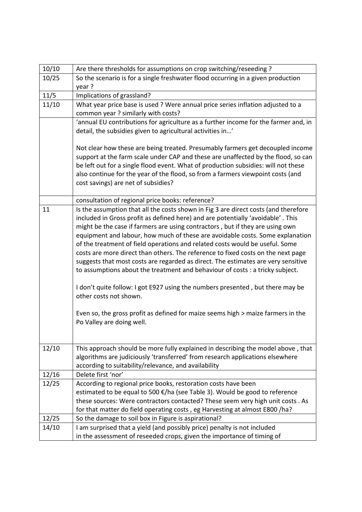| 10/10 | Are there thresholds for assumptions on crop switching/reseeding ?                  |
|-------|-------------------------------------------------------------------------------------|
| 10/25 | So the scenario is for a single freshwater flood occurring in a given production    |
|       | year?                                                                               |
| 11/5  | Implications of grassland?                                                          |
| 11/10 | What year price base is used ? Were annual price series inflation adjusted to a     |
|       | common year ? similarly with costs?                                                 |
|       | 'annual EU contributions for agriculture as a further income for the farmer and, in |
|       | detail, the subsidies given to agricultural activities in'                          |
|       |                                                                                     |
|       | Not clear how these are being treated. Presumably farmers get decoupled income      |
|       | support at the farm scale under CAP and these are unaffected by the flood, so can   |
|       | be left out for a single flood event. What of production subsidies: will not these  |
|       | also continue for the year of the flood, so from a farmers viewpoint costs (and     |
|       | cost savings) are net of subsidies?                                                 |
|       | consultation of regional price books: reference?                                    |
| 11    | Is the assumption that all the costs shown in Fig 3 are direct costs (and therefore |
|       | included in Gross profit as defined here) and are potentially 'avoidable'. This     |
|       | might be the case if farmers are using contractors, but if they are using own       |
|       | equipment and labour, how much of these are avoidable costs. Some explanation       |
|       | of the treatment of field operations and related costs would be useful. Some        |
|       | costs are more direct than others. The reference to fixed costs on the next page    |
|       | suggests that most costs are regarded as direct. The estimates are very sensitive   |
|       | to assumptions about the treatment and behaviour of costs : a tricky subject.       |
|       |                                                                                     |
|       | I don't quite follow: I got E927 using the numbers presented, but there may be      |
|       | other costs not shown.                                                              |
|       | Even so, the gross profit as defined for maize seems high > maize farmers in the    |
|       | Po Valley are doing well.                                                           |
|       |                                                                                     |
|       |                                                                                     |
| 12/10 | This approach should be more fully explained in describing the model above, that    |
|       | algorithms are judiciously 'transferred' from research applications elsewhere       |
|       | according to suitability/relevance, and availability                                |
| 12/16 | Delete first 'nor'                                                                  |
| 12/25 | According to regional price books, restoration costs have been                      |
|       | estimated to be equal to 500 €/ha (see Table 3). Would be good to reference         |
|       | these sources: Were contractors contacted? These seem very high unit costs . As     |
|       | for that matter do field operating costs, eg Harvesting at almost E800 /ha?         |
| 12/25 | So the damage to soil box in Figure is aspirational?                                |
| 14/10 | I am surprised that a yield (and possibly price) penalty is not included            |
|       | in the assessment of reseeded crops, given the importance of timing of              |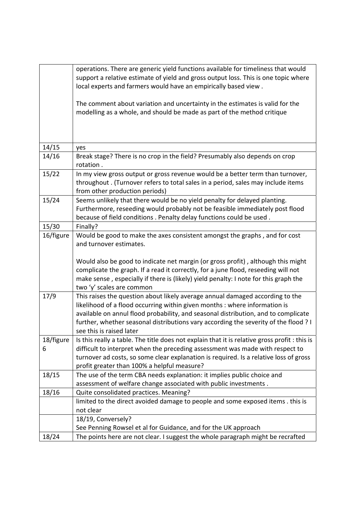|                | operations. There are generic yield functions available for timeliness that would<br>support a relative estimate of yield and gross output loss. This is one topic where<br>local experts and farmers would have an empirically based view.<br>The comment about variation and uncertainty in the estimates is valid for the<br>modelling as a whole, and should be made as part of the method critique |
|----------------|---------------------------------------------------------------------------------------------------------------------------------------------------------------------------------------------------------------------------------------------------------------------------------------------------------------------------------------------------------------------------------------------------------|
| 14/15          | yes                                                                                                                                                                                                                                                                                                                                                                                                     |
| 14/16          | Break stage? There is no crop in the field? Presumably also depends on crop<br>rotation.                                                                                                                                                                                                                                                                                                                |
| 15/22          | In my view gross output or gross revenue would be a better term than turnover,<br>throughout. (Turnover refers to total sales in a period, sales may include items<br>from other production periods)                                                                                                                                                                                                    |
| 15/24          | Seems unlikely that there would be no yield penalty for delayed planting.<br>Furthermore, reseeding would probably not be feasible immediately post flood<br>because of field conditions . Penalty delay functions could be used.                                                                                                                                                                       |
| 15/30          | Finally?                                                                                                                                                                                                                                                                                                                                                                                                |
| 16/figure      | Would be good to make the axes consistent amongst the graphs, and for cost<br>and turnover estimates.                                                                                                                                                                                                                                                                                                   |
|                | Would also be good to indicate net margin (or gross profit), although this might<br>complicate the graph. If a read it correctly, for a june flood, reseeding will not<br>make sense, especially if there is (likely) yield penalty: I note for this graph the<br>two 'y' scales are common                                                                                                             |
| 17/9           | This raises the question about likely average annual damaged according to the<br>likelihood of a flood occurring within given months : where information is<br>available on annul flood probability, and seasonal distribution, and to complicate<br>further, whether seasonal distributions vary according the severity of the flood ? I<br>see this is raised later                                   |
| 18/figure<br>6 | Is this really a table. The title does not explain that it is relative gross profit : this is<br>difficult to interpret when the preceding assessment was made with respect to<br>turnover ad costs, so some clear explanation is required. Is a relative loss of gross<br>profit greater than 100% a helpful measure?                                                                                  |
| 18/15          | The use of the term CBA needs explanation: it implies public choice and<br>assessment of welfare change associated with public investments.                                                                                                                                                                                                                                                             |
| 18/16          | Quite consolidated practices. Meaning?                                                                                                                                                                                                                                                                                                                                                                  |
|                | limited to the direct avoided damage to people and some exposed items . this is<br>not clear                                                                                                                                                                                                                                                                                                            |
|                | 18/19, Conversely?<br>See Penning Rowsel et al for Guidance, and for the UK approach                                                                                                                                                                                                                                                                                                                    |
| 18/24          | The points here are not clear. I suggest the whole paragraph might be recrafted                                                                                                                                                                                                                                                                                                                         |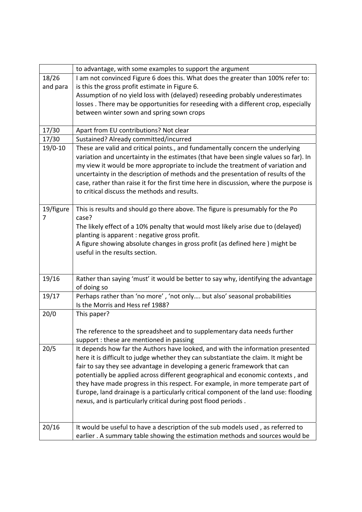|           | to advantage, with some examples to support the argument                                          |
|-----------|---------------------------------------------------------------------------------------------------|
| 18/26     | I am not convinced Figure 6 does this. What does the greater than 100% refer to:                  |
| and para  | is this the gross profit estimate in Figure 6.                                                    |
|           | Assumption of no yield loss with (delayed) reseeding probably underestimates                      |
|           | losses. There may be opportunities for reseeding with a different crop, especially                |
|           | between winter sown and spring sown crops                                                         |
|           |                                                                                                   |
| 17/30     | Apart from EU contributions? Not clear                                                            |
| 17/30     | Sustained? Already committed/incurred                                                             |
| $19/0-10$ | These are valid and critical points., and fundamentally concern the underlying                    |
|           | variation and uncertainty in the estimates (that have been single values so far). In              |
|           | my view it would be more appropriate to include the treatment of variation and                    |
|           | uncertainty in the description of methods and the presentation of results of the                  |
|           | case, rather than raise it for the first time here in discussion, where the purpose is            |
|           | to critical discuss the methods and results.                                                      |
|           |                                                                                                   |
| 19/figure | This is results and should go there above. The figure is presumably for the Po                    |
| 7         | case?                                                                                             |
|           | The likely effect of a 10% penalty that would most likely arise due to (delayed)                  |
|           | planting is apparent : negative gross profit.                                                     |
|           | A figure showing absolute changes in gross profit (as defined here) might be                      |
|           | useful in the results section.                                                                    |
|           |                                                                                                   |
|           |                                                                                                   |
| 19/16     | Rather than saying 'must' it would be better to say why, identifying the advantage<br>of doing so |
| 19/17     | Perhaps rather than 'no more', 'not only but also' seasonal probabilities                         |
|           | Is the Morris and Hess ref 1988?                                                                  |
| 20/0      | This paper?                                                                                       |
|           |                                                                                                   |
|           | The reference to the spreadsheet and to supplementary data needs further                          |
|           | support : these are mentioned in passing                                                          |
| 20/5      | It depends how far the Authors have looked, and with the information presented                    |
|           | here it is difficult to judge whether they can substantiate the claim. It might be                |
|           | fair to say they see advantage in developing a generic framework that can                         |
|           | potentially be applied across different geographical and economic contexts, and                   |
|           | they have made progress in this respect. For example, in more temperate part of                   |
|           | Europe, land drainage is a particularly critical component of the land use: flooding              |
|           | nexus, and is particularly critical during post flood periods.                                    |
|           |                                                                                                   |
|           |                                                                                                   |
| 20/16     | It would be useful to have a description of the sub models used, as referred to                   |
|           | earlier. A summary table showing the estimation methods and sources would be                      |